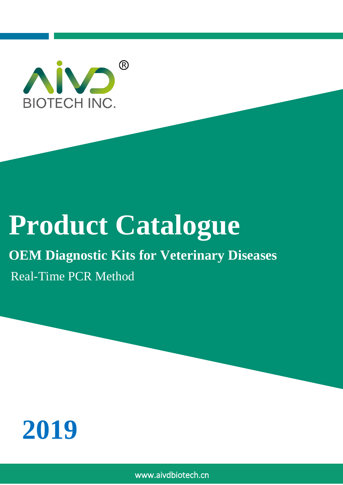

# **Product Catalogue**

# **OEM Diagnostic Kits for Veterinary Diseases**

Real-Time PCR Method



www.aivdbiotech.cn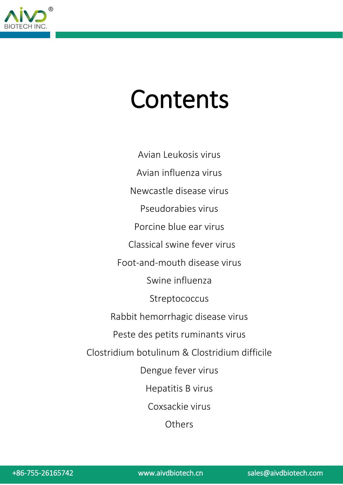

# Contents

Avian Leukosis virus Avian influenza virus Newcastle disease virus Pseudorabies virus Porcine blue ear virus Classical swine fever virus Foot-and-mouth disease virus Swine influenza Streptococcus Rabbit hemorrhagic disease virus Peste des petits ruminants virus Clostridium botulinum & Clostridium difficile Dengue fever virus Hepatitis B virus Coxsackie virus **Others**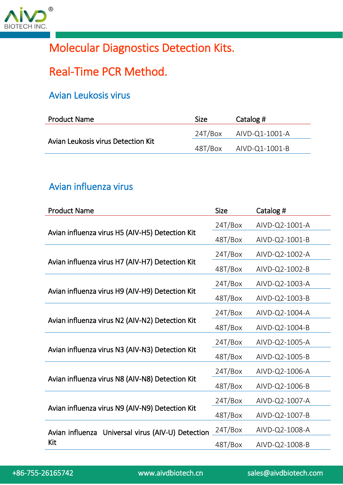

# Molecular Diagnostics Detection Kits.

# Real-Time PCR Method.

## Avian Leukosis virus

| <b>Product Name</b>                | <b>Size</b> | Catalog #                   |
|------------------------------------|-------------|-----------------------------|
| Avian Leukosis virus Detection Kit |             | $24T/Box$ $AlVD$ -Q1-1001-A |
|                                    |             | 48T/Box AIVD-Q1-1001-B      |

#### Avian influenza virus

| <b>Product Name</b>                                      | <b>Size</b> | Catalog #      |
|----------------------------------------------------------|-------------|----------------|
|                                                          | 24T/Box     | AIVD-Q2-1001-A |
| Avian influenza virus H5 (AIV-H5) Detection Kit          | 48T/Box     | AIVD-Q2-1001-B |
|                                                          | 24T/Box     | AIVD-Q2-1002-A |
| Avian influenza virus H7 (AIV-H7) Detection Kit          | 48T/Box     | AIVD-Q2-1002-B |
|                                                          | 24T/Box     | AIVD-Q2-1003-A |
| Avian influenza virus H9 (AIV-H9) Detection Kit          | 48T/Box     | AIVD-Q2-1003-B |
| Avian influenza virus N2 (AIV-N2) Detection Kit          | 24T/Box     | AIVD-Q2-1004-A |
|                                                          | 48T/Box     | AIVD-Q2-1004-B |
|                                                          | 24T/Box     | AIVD-Q2-1005-A |
| Avian influenza virus N3 (AIV-N3) Detection Kit          | 48T/Box     | AIVD-Q2-1005-B |
|                                                          | 24T/Box     | AIVD-Q2-1006-A |
| Avian influenza virus N8 (AIV-N8) Detection Kit          | 48T/Box     | AIVD-Q2-1006-B |
| Avian influenza virus N9 (AIV-N9) Detection Kit          | 24T/Box     | AIVD-Q2-1007-A |
|                                                          | 48T/Box     | AIVD-Q2-1007-B |
| Avian influenza Universal virus (AIV-U) Detection<br>Kit | 24T/Box     | AIVD-Q2-1008-A |
|                                                          | 48T/Box     | AIVD-Q2-1008-B |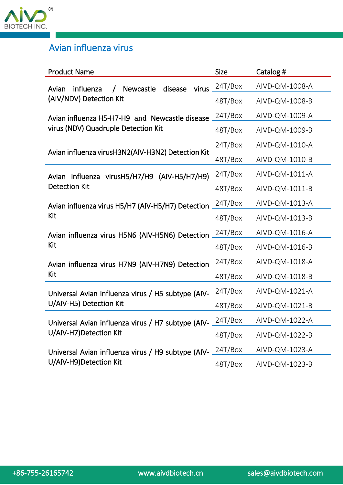

# Avian influenza virus

| <b>Product Name</b>                                                          | <b>Size</b> | Catalog #      |
|------------------------------------------------------------------------------|-------------|----------------|
| virus.<br>influenza<br><b>Newcastle</b><br>disease<br>Avian                  | 24T/Box     | AIVD-QM-1008-A |
| (AIV/NDV) Detection Kit                                                      | 48T/Box     | AIVD-QM-1008-B |
| Avian influenza H5-H7-H9 and Newcastle disease                               | 24T/Box     | AIVD-QM-1009-A |
| virus (NDV) Quadruple Detection Kit                                          | 48T/Box     | AIVD-QM-1009-B |
|                                                                              | 24T/Box     | AIVD-QM-1010-A |
| Avian influenza virusH3N2(AIV-H3N2) Detection Kit                            | 48T/Box     | AIVD-QM-1010-B |
| Avian influenza virusH5/H7/H9 (AIV-H5/H7/H9)                                 | 24T/Box     | AIVD-QM-1011-A |
| <b>Detection Kit</b>                                                         | 48T/Box     | AIVD-QM-1011-B |
| Avian influenza virus H5/H7 (AIV-H5/H7) Detection                            | 24T/Box     | AIVD-QM-1013-A |
| Kit                                                                          | 48T/Box     | AIVD-QM-1013-B |
| Avian influenza virus H5N6 (AIV-H5N6) Detection                              | 24T/Box     | AIVD-QM-1016-A |
| Kit                                                                          | 48T/Box     | AIVD-QM-1016-B |
| Avian influenza virus H7N9 (AIV-H7N9) Detection                              | 24T/Box     | AIVD-QM-1018-A |
| Kit                                                                          | 48T/Box     | AIVD-QM-1018-B |
| Universal Avian influenza virus / H5 subtype (AIV-                           | 24T/Box     | AIVD-QM-1021-A |
| U/AIV-H5) Detection Kit                                                      | 48T/Box     | AIVD-QM-1021-B |
| Universal Avian influenza virus / H7 subtype (AIV-                           | 24T/Box     | AIVD-QM-1022-A |
| U/AIV-H7) Detection Kit                                                      | 48T/Box     | AIVD-QM-1022-B |
| Universal Avian influenza virus / H9 subtype (AIV-<br>U/AIV-H9)Detection Kit | 24T/Box     | AIVD-QM-1023-A |
|                                                                              | 48T/Box     | AIVD-QM-1023-B |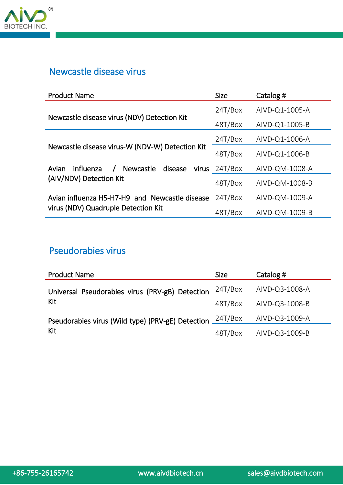

#### Newcastle disease virus

| <b>Product Name</b>                                 | <b>Size</b>     | Catalog #      |
|-----------------------------------------------------|-----------------|----------------|
|                                                     | 24T/Box         | AIVD-Q1-1005-A |
| Newcastle disease virus (NDV) Detection Kit         | 48T/Box         | AIVD-Q1-1005-B |
|                                                     | 24T/Box         | AIVD-Q1-1006-A |
| Newcastle disease virus-W (NDV-W) Detection Kit     | 48T/Box         | AIVD-Q1-1006-B |
| Newcastle disease<br>influenza<br>Avian<br>$\prime$ | virus $24T/Box$ | AIVD-QM-1008-A |
| (AIV/NDV) Detection Kit                             | 48T/Box         | AIVD-QM-1008-B |
| Avian influenza H5-H7-H9 and Newcastle disease      | 24T/Box         | AIVD-QM-1009-A |
| virus (NDV) Quadruple Detection Kit                 | 48T/Box         | AIVD-QM-1009-B |

## Pseudorabies virus

| <b>Product Name</b>                               | <b>Size</b> | Catalog #      |
|---------------------------------------------------|-------------|----------------|
| Universal Pseudorabies virus (PRV-gB) Detection   | 24T/Box     | AIVD-Q3-1008-A |
| Kit                                               | 48T/Box     | AIVD-Q3-1008-B |
| Pseudorabies virus (Wild type) (PRV-gE) Detection | 24T/Box     | AIVD-Q3-1009-A |
| Kit                                               | 48T/Box     | AIVD-Q3-1009-B |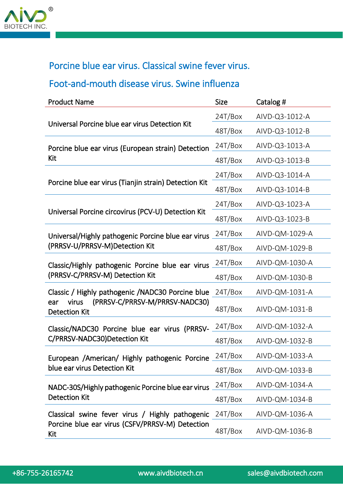

# Porcine blue ear virus. Classical swine fever virus.

# Foot-and-mouth disease virus. Swine influenza

| <b>Product Name</b>                                                                                                         | <b>Size</b> | Catalog #      |
|-----------------------------------------------------------------------------------------------------------------------------|-------------|----------------|
| Universal Porcine blue ear virus Detection Kit                                                                              | 24T/Box     | AIVD-Q3-1012-A |
|                                                                                                                             | 48T/Box     | AIVD-Q3-1012-B |
| Porcine blue ear virus (European strain) Detection                                                                          | 24T/Box     | AIVD-Q3-1013-A |
| Kit                                                                                                                         | 48T/Box     | AIVD-Q3-1013-B |
|                                                                                                                             | 24T/Box     | AIVD-Q3-1014-A |
| Porcine blue ear virus (Tianjin strain) Detection Kit                                                                       | 48T/Box     | AIVD-Q3-1014-B |
|                                                                                                                             | 24T/Box     | AIVD-Q3-1023-A |
| Universal Porcine circovirus (PCV-U) Detection Kit                                                                          | 48T/Box     | AIVD-Q3-1023-B |
| Universal/Highly pathogenic Porcine blue ear virus                                                                          | 24T/Box     | AIVD-QM-1029-A |
| (PRRSV-U/PRRSV-M)Detection Kit                                                                                              | 48T/Box     | AIVD-QM-1029-B |
| Classic/Highly pathogenic Porcine blue ear virus                                                                            | 24T/Box     | AIVD-QM-1030-A |
| (PRRSV-C/PRRSV-M) Detection Kit                                                                                             | 48T/Box     | AIVD-QM-1030-B |
| Classic / Highly pathogenic / NADC30 Porcine blue<br>(PRRSV-C/PRRSV-M/PRRSV-NADC30)<br>virus<br>ear<br><b>Detection Kit</b> | 24T/Box     | AIVD-QM-1031-A |
|                                                                                                                             | 48T/Box     | AIVD-QM-1031-B |
| Classic/NADC30 Porcine blue ear virus (PRRSV-                                                                               | 24T/Box     | AIVD-QM-1032-A |
| C/PRRSV-NADC30)Detection Kit                                                                                                | 48T/Box     | AIVD-QM-1032-B |
| European /American/ Highly pathogenic Porcine                                                                               | 24T/Box     | AIVD-QM-1033-A |
| blue ear virus Detection Kit                                                                                                | 48T/Box     | AIVD-QM-1033-B |
| NADC-30S/Highly pathogenic Porcine blue ear virus<br><b>Detection Kit</b>                                                   | 24T/Box     | AIVD-QM-1034-A |
|                                                                                                                             | 48T/Box     | AIVD-QM-1034-B |
| Classical swine fever virus / Highly pathogenic 24T/Box                                                                     |             | AIVD-QM-1036-A |
| Porcine blue ear virus (CSFV/PRRSV-M) Detection<br>Kit                                                                      | 48T/Box     | AIVD-QM-1036-B |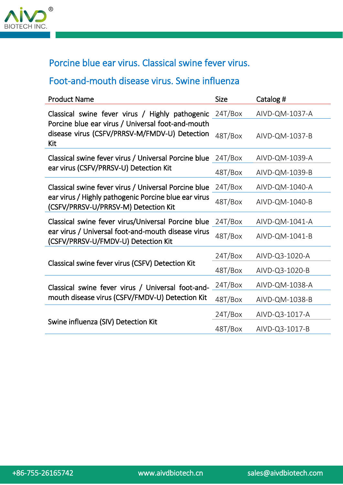

# Porcine blue ear virus. Classical swine fever virus.

#### Foot-and-mouth disease virus. Swine influenza

| <b>Product Name</b>                                                                                       | <b>Size</b> | Catalog #      |
|-----------------------------------------------------------------------------------------------------------|-------------|----------------|
| Classical swine fever virus / Highly pathogenic                                                           | 24T/Box     | AIVD-QM-1037-A |
| Porcine blue ear virus / Universal foot-and-mouth<br>disease virus (CSFV/PRRSV-M/FMDV-U) Detection<br>Kit | 48T/Box     | AIVD-QM-1037-B |
| Classical swine fever virus / Universal Porcine blue                                                      | 24T/Box     | AIVD-QM-1039-A |
| ear virus (CSFV/PRRSV-U) Detection Kit                                                                    | 48T/Box     | AIVD-QM-1039-B |
| Classical swine fever virus / Universal Porcine blue                                                      | 24T/Box     | AIVD-QM-1040-A |
| ear virus / Highly pathogenic Porcine blue ear virus<br>(CSFV/PRRSV-U/PRRSV-M) Detection Kit              | 48T/Box     | AIVD-QM-1040-B |
| Classical swine fever virus/Universal Porcine blue                                                        | 24T/Box     | AIVD-QM-1041-A |
| ear virus / Universal foot-and-mouth disease virus<br>(CSFV/PRRSV-U/FMDV-U) Detection Kit                 | 48T/Box     | AIVD-QM-1041-B |
|                                                                                                           | 24T/Box     | AIVD-Q3-1020-A |
| Classical swine fever virus (CSFV) Detection Kit                                                          | 48T/Box     | AIVD-Q3-1020-B |
| Classical swine fever virus / Universal foot-and-                                                         | 24T/Box     | AIVD-QM-1038-A |
| mouth disease virus (CSFV/FMDV-U) Detection Kit                                                           | 48T/Box     | AIVD-QM-1038-B |
|                                                                                                           | 24T/Box     | AIVD-Q3-1017-A |
| Swine influenza (SIV) Detection Kit                                                                       | 48T/Box     | AIVD-Q3-1017-B |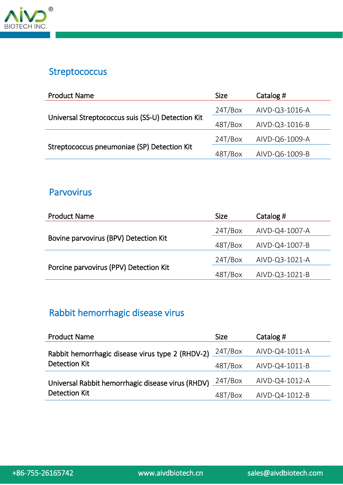

#### **Streptococcus**

| <b>Product Name</b>                               | <b>Size</b> | Catalog #      |
|---------------------------------------------------|-------------|----------------|
|                                                   | 24T/Box     | AIVD-Q3-1016-A |
| Universal Streptococcus suis (SS-U) Detection Kit | 48T/Box     | AIVD-Q3-1016-B |
|                                                   | 24T/Box     | AIVD-Q6-1009-A |
| Streptococcus pneumoniae (SP) Detection Kit       | 48T/Box     | AIVD-Q6-1009-B |

#### Parvovirus

| <b>Product Name</b>                    | <b>Size</b> | Catalog #      |
|----------------------------------------|-------------|----------------|
| Bovine parvovirus (BPV) Detection Kit  | 24T/Box     | AIVD-Q4-1007-A |
|                                        | 48T/Box     | AIVD-Q4-1007-B |
|                                        | 24T/Box     | AIVD-Q3-1021-A |
| Porcine parvovirus (PPV) Detection Kit | 48T/Box     | AIVD-Q3-1021-B |

# Rabbit hemorrhagic disease virus

| <b>Product Name</b>                                                  | <b>Size</b> | Catalog #      |
|----------------------------------------------------------------------|-------------|----------------|
| Rabbit hemorrhagic disease virus type 2 (RHDV-2) $\frac{24T/Box}{2}$ |             | AIVD-Q4-1011-A |
| <b>Detection Kit</b>                                                 | 48T/Box     | AIVD-Q4-1011-B |
| Universal Rabbit hemorrhagic disease virus (RHDV) 24T/Box            |             | AIVD-Q4-1012-A |
| <b>Detection Kit</b>                                                 | 48T/Box     | AIVD-Q4-1012-B |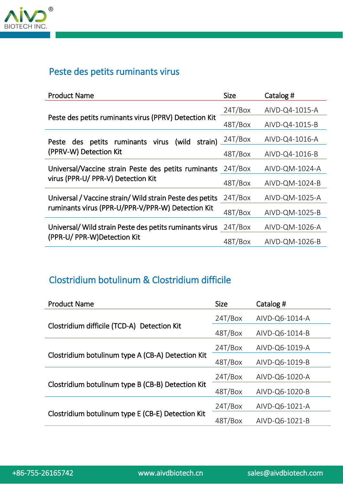

#### Peste des petits ruminants virus

| <b>Product Name</b>                                      | <b>Size</b> | Catalog #      |
|----------------------------------------------------------|-------------|----------------|
|                                                          | 24T/Box     | AIVD-Q4-1015-A |
| Peste des petits ruminants virus (PPRV) Detection Kit    | 48T/Box     | AIVD-Q4-1015-B |
| Peste des petits ruminants virus (wild<br>strain)        | 24T/Box     | AIVD-Q4-1016-A |
| (PPRV-W) Detection Kit                                   | 48T/Box     | AIVD-Q4-1016-B |
| Universal/Vaccine strain Peste des petits ruminants      | 24T/Box     | AIVD-QM-1024-A |
| virus (PPR-U/ PPR-V) Detection Kit                       | 48T/Box     | AIVD-QM-1024-B |
| Universal / Vaccine strain/ Wild strain Peste des petits | 24T/Box     | AIVD-QM-1025-A |
| ruminants virus (PPR-U/PPR-V/PPR-W) Detection Kit        | 48T/Box     | AIVD-QM-1025-B |
| Universal/Wild strain Peste des petits ruminants virus   | 24T/Box     | AIVD-QM-1026-A |
| (PPR-U/ PPR-W)Detection Kit                              | 48T/Box     | AIVD-QM-1026-B |

## Clostridium botulinum & Clostridium difficile

| <b>Product Name</b>                               | <b>Size</b> | Catalog #      |
|---------------------------------------------------|-------------|----------------|
| Clostridium difficile (TCD-A) Detection Kit       | 24T/Box     | AIVD-Q6-1014-A |
|                                                   | 48T/Box     | AIVD-Q6-1014-B |
| Clostridium botulinum type A (CB-A) Detection Kit | 24T/Box     | AIVD-Q6-1019-A |
|                                                   | 48T/Box     | AIVD-Q6-1019-B |
| Clostridium botulinum type B (CB-B) Detection Kit | 24T/Box     | AIVD-Q6-1020-A |
|                                                   | 48T/Box     | AIVD-Q6-1020-B |
|                                                   | 24T/Box     | AIVD-Q6-1021-A |
| Clostridium botulinum type E (CB-E) Detection Kit | 48T/Box     | AIVD-Q6-1021-B |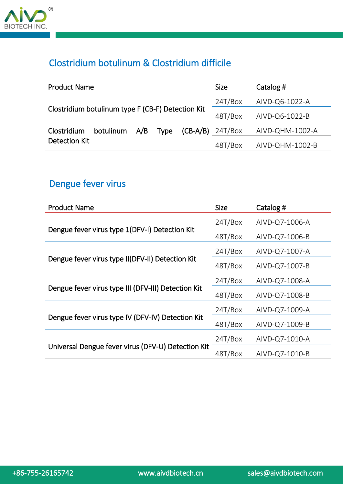

# Clostridium botulinum & Clostridium difficile

| <b>Product Name</b>                               |           |     |         |                    | <b>Size</b> | Catalog #       |
|---------------------------------------------------|-----------|-----|---------|--------------------|-------------|-----------------|
| Clostridium botulinum type F (CB-F) Detection Kit |           |     | 24T/Box | AIVD-Q6-1022-A     |             |                 |
|                                                   |           |     | 48T/Box | AIVD-Q6-1022-B     |             |                 |
| Clostridium                                       | botulinum | A/B | Type    | $(CB-A/B)$ 24T/Box |             | AIVD-QHM-1002-A |
| Detection Kit                                     |           |     |         |                    | 48T/Box     | AIVD-QHM-1002-B |

# Dengue fever virus

| <b>Product Name</b>                                 | <b>Size</b> | Catalog #      |
|-----------------------------------------------------|-------------|----------------|
|                                                     | 24T/Box     | AIVD-Q7-1006-A |
| Dengue fever virus type 1(DFV-I) Detection Kit      | 48T/Box     | AIVD-Q7-1006-B |
|                                                     | 24T/Box     | AIVD-Q7-1007-A |
| Dengue fever virus type II(DFV-II) Detection Kit    | 48T/Box     | AIVD-Q7-1007-B |
|                                                     | 24T/Box     | AIVD-Q7-1008-A |
| Dengue fever virus type III (DFV-III) Detection Kit | 48T/Box     | AIVD-Q7-1008-B |
|                                                     | 24T/Box     | AIVD-Q7-1009-A |
| Dengue fever virus type IV (DFV-IV) Detection Kit   | 48T/Box     | AIVD-Q7-1009-B |
|                                                     | 24T/Box     | AIVD-Q7-1010-A |
| Universal Dengue fever virus (DFV-U) Detection Kit  | 48T/Box     | AIVD-Q7-1010-B |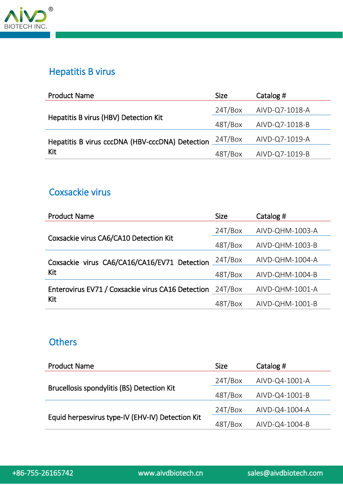

#### Hepatitis B virus

| <b>Product Name</b>                             | <b>Size</b> | Catalog #      |
|-------------------------------------------------|-------------|----------------|
|                                                 | 24T/Box     | AIVD-Q7-1018-A |
| Hepatitis B virus (HBV) Detection Kit           | 48T/Box     | AIVD-Q7-1018-B |
| Hepatitis B virus cccDNA (HBV-cccDNA) Detection | 24T/Box     | AIVD-Q7-1019-A |
| Kit                                             | 48T/Box     | AIVD-Q7-1019-B |

#### Coxsackie virus

| <b>Product Name</b>                               | <b>Size</b> | Catalog #       |
|---------------------------------------------------|-------------|-----------------|
|                                                   | 24T/Box     | AIVD-QHM-1003-A |
| Coxsackie virus CA6/CA10 Detection Kit            | 48T/Box     | AIVD-QHM-1003-B |
| Coxsackie virus CA6/CA16/CA16/EV71 Detection      | 24T/Box     | AIVD-QHM-1004-A |
| Kit                                               | 48T/Box     | AIVD-QHM-1004-B |
| Enterovirus EV71 / Coxsackie virus CA16 Detection | 24T/Box     | AIVD-QHM-1001-A |
| Kit                                               | 48T/Box     | AIVD-QHM-1001-B |

## **Others**

| <b>Product Name</b>                              | <b>Size</b> | Catalog #      |
|--------------------------------------------------|-------------|----------------|
|                                                  | 24T/Box     | AIVD-Q4-1001-A |
| Brucellosis spondylitis (BS) Detection Kit       | 48T/Box     | AIVD-Q4-1001-B |
|                                                  | 24T/Box     | AIVD-Q4-1004-A |
| Equid herpesvirus type-IV (EHV-IV) Detection Kit | 48T/Box     | AIVD-Q4-1004-B |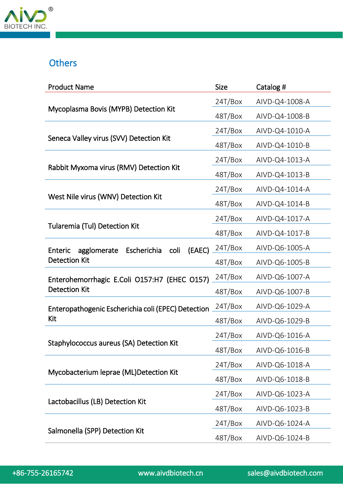

# **Others**

| <b>Product Name</b>                                            | <b>Size</b> | Catalog #      |
|----------------------------------------------------------------|-------------|----------------|
|                                                                | 24T/Box     | AIVD-Q4-1008-A |
| Mycoplasma Bovis (MYPB) Detection Kit                          | 48T/Box     | AIVD-Q4-1008-B |
|                                                                | 24T/Box     | AIVD-Q4-1010-A |
| Seneca Valley virus (SVV) Detection Kit                        | 48T/Box     | AIVD-Q4-1010-B |
|                                                                | 24T/Box     | AIVD-Q4-1013-A |
| Rabbit Myxoma virus (RMV) Detection Kit                        | 48T/Box     | AIVD-Q4-1013-B |
|                                                                | 24T/Box     | AIVD-Q4-1014-A |
| West Nile virus (WNV) Detection Kit                            | 48T/Box     | AIVD-Q4-1014-B |
|                                                                | 24T/Box     | AIVD-Q4-1017-A |
| <b>Tularemia (Tul) Detection Kit</b>                           | 48T/Box     | AIVD-Q4-1017-B |
| (EAEC)<br>Escherichia<br>coli<br><b>Enteric</b><br>agglomerate | 24T/Box     | AIVD-Q6-1005-A |
| <b>Detection Kit</b>                                           | 48T/Box     | AIVD-Q6-1005-B |
| Enterohemorrhagic E.Coli O157:H7 (EHEC O157)                   | 24T/Box     | AIVD-Q6-1007-A |
| <b>Detection Kit</b>                                           | 48T/Box     | AIVD-Q6-1007-B |
| Enteropathogenic Escherichia coli (EPEC) Detection             | 24T/Box     | AIVD-Q6-1029-A |
| Kit                                                            | 48T/Box     | AIVD-Q6-1029-B |
|                                                                | 24T/Box     | AIVD-Q6-1016-A |
| Staphylococcus aureus (SA) Detection Kit                       | 48T/Box     | AIVD-Q6-1016-B |
|                                                                | 24T/Box     | AIVD-Q6-1018-A |
| Mycobacterium leprae (ML)Detection Kit                         | 48T/Box     | AIVD-Q6-1018-B |
|                                                                | 24T/Box     | AIVD-Q6-1023-A |
| Lactobacillus (LB) Detection Kit                               | 48T/Box     | AIVD-Q6-1023-B |
|                                                                | 24T/Box     | AIVD-Q6-1024-A |
| Salmonella (SPP) Detection Kit                                 | 48T/Box     | AIVD-Q6-1024-B |